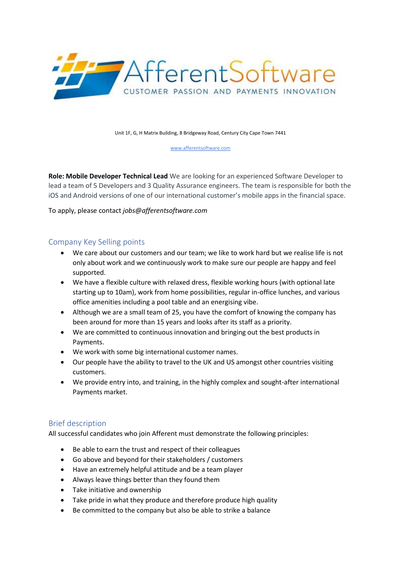

Unit 1F, G, H Matrix Building, 8 Bridgeway Road, Century City Cape Town 7441

[www.afferentsoftware.com](http://www.afferentsoftware.com/)

**Role: Mobile Developer Technical Lead** We are looking for an experienced Software Developer to lead a team of 5 Developers and 3 Quality Assurance engineers. The team is responsible for both the iOS and Android versions of one of our international customer's mobile apps in the financial space.

To apply, please contact *jobs@afferentsoftware.com*

## Company Key Selling points

- We care about our customers and our team; we like to work hard but we realise life is not only about work and we continuously work to make sure our people are happy and feel supported.
- We have a flexible culture with relaxed dress, flexible working hours (with optional late starting up to 10am), work from home possibilities, regular in-office lunches, and various office amenities including a pool table and an energising vibe.
- Although we are a small team of 25, you have the comfort of knowing the company has been around for more than 15 years and looks after its staff as a priority.
- We are committed to continuous innovation and bringing out the best products in Payments.
- We work with some big international customer names.
- Our people have the ability to travel to the UK and US amongst other countries visiting customers.
- We provide entry into, and training, in the highly complex and sought-after international Payments market.

## Brief description

All successful candidates who join Afferent must demonstrate the following principles:

- Be able to earn the trust and respect of their colleagues
- Go above and beyond for their stakeholders / customers
- Have an extremely helpful attitude and be a team player
- Always leave things better than they found them
- Take initiative and ownership
- Take pride in what they produce and therefore produce high quality
- Be committed to the company but also be able to strike a balance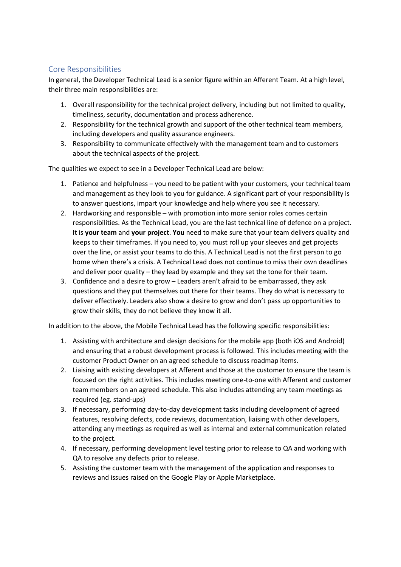## Core Responsibilities

In general, the Developer Technical Lead is a senior figure within an Afferent Team. At a high level, their three main responsibilities are:

- 1. Overall responsibility for the technical project delivery, including but not limited to quality, timeliness, security, documentation and process adherence.
- 2. Responsibility for the technical growth and support of the other technical team members, including developers and quality assurance engineers.
- 3. Responsibility to communicate effectively with the management team and to customers about the technical aspects of the project.

The qualities we expect to see in a Developer Technical Lead are below:

- 1. Patience and helpfulness you need to be patient with your customers, your technical team and management as they look to you for guidance. A significant part of your responsibility is to answer questions, impart your knowledge and help where you see it necessary.
- 2. Hardworking and responsible with promotion into more senior roles comes certain responsibilities. As the Technical Lead, you are the last technical line of defence on a project. It is **your team** and **your project**. **You** need to make sure that your team delivers quality and keeps to their timeframes. If you need to, you must roll up your sleeves and get projects over the line, or assist your teams to do this. A Technical Lead is not the first person to go home when there's a crisis. A Technical Lead does not continue to miss their own deadlines and deliver poor quality – they lead by example and they set the tone for their team.
- 3. Confidence and a desire to grow Leaders aren't afraid to be embarrassed, they ask questions and they put themselves out there for their teams. They do what is necessary to deliver effectively. Leaders also show a desire to grow and don't pass up opportunities to grow their skills, they do not believe they know it all.

In addition to the above, the Mobile Technical Lead has the following specific responsibilities:

- 1. Assisting with architecture and design decisions for the mobile app (both iOS and Android) and ensuring that a robust development process is followed. This includes meeting with the customer Product Owner on an agreed schedule to discuss roadmap items.
- 2. Liaising with existing developers at Afferent and those at the customer to ensure the team is focused on the right activities. This includes meeting one-to-one with Afferent and customer team members on an agreed schedule. This also includes attending any team meetings as required (eg. stand-ups)
- 3. If necessary, performing day-to-day development tasks including development of agreed features, resolving defects, code reviews, documentation, liaising with other developers, attending any meetings as required as well as internal and external communication related to the project.
- 4. If necessary, performing development level testing prior to release to QA and working with QA to resolve any defects prior to release.
- 5. Assisting the customer team with the management of the application and responses to reviews and issues raised on the Google Play or Apple Marketplace.